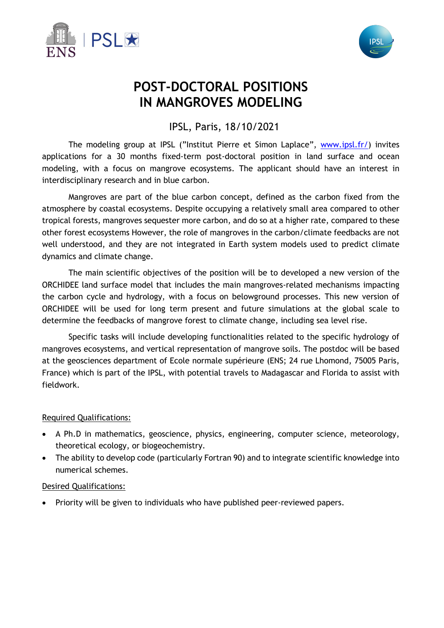



# **POST-DOCTORAL POSITIONS IN MANGROVES MODELING**

IPSL, Paris, 18/10/2021

The modeling group at IPSL ("Institut Pierre et Simon Laplace", www.ipsl.fr/) invites applications for a 30 months fixed-term post-doctoral position in land surface and ocean modeling, with a focus on mangrove ecosystems. The applicant should have an interest in interdisciplinary research and in blue carbon.

Mangroves are part of the blue carbon concept, defined as the carbon fixed from the atmosphere by coastal ecosystems. Despite occupying a relatively small area compared to other tropical forests, mangroves sequester more carbon, and do so at a higher rate, compared to these other forest ecosystems However, the role of mangroves in the carbon/climate feedbacks are not well understood, and they are not integrated in Earth system models used to predict climate dynamics and climate change.

The main scientific objectives of the position will be to developed a new version of the ORCHIDEE land surface model that includes the main mangroves-related mechanisms impacting the carbon cycle and hydrology, with a focus on belowground processes. This new version of ORCHIDEE will be used for long term present and future simulations at the global scale to determine the feedbacks of mangrove forest to climate change, including sea level rise.

Specific tasks will include developing functionalities related to the specific hydrology of mangroves ecosystems, and vertical representation of mangrove soils. The postdoc will be based at the geosciences department of Ecole normale supérieure (ENS; 24 rue Lhomond, 75005 Paris, France) which is part of the IPSL, with potential travels to Madagascar and Florida to assist with fieldwork.

## Required Qualifications:

- A Ph.D in mathematics, geoscience, physics, engineering, computer science, meteorology, theoretical ecology, or biogeochemistry.
- The ability to develop code (particularly Fortran 90) and to integrate scientific knowledge into numerical schemes.

#### Desired Qualifications:

• Priority will be given to individuals who have published peer-reviewed papers.